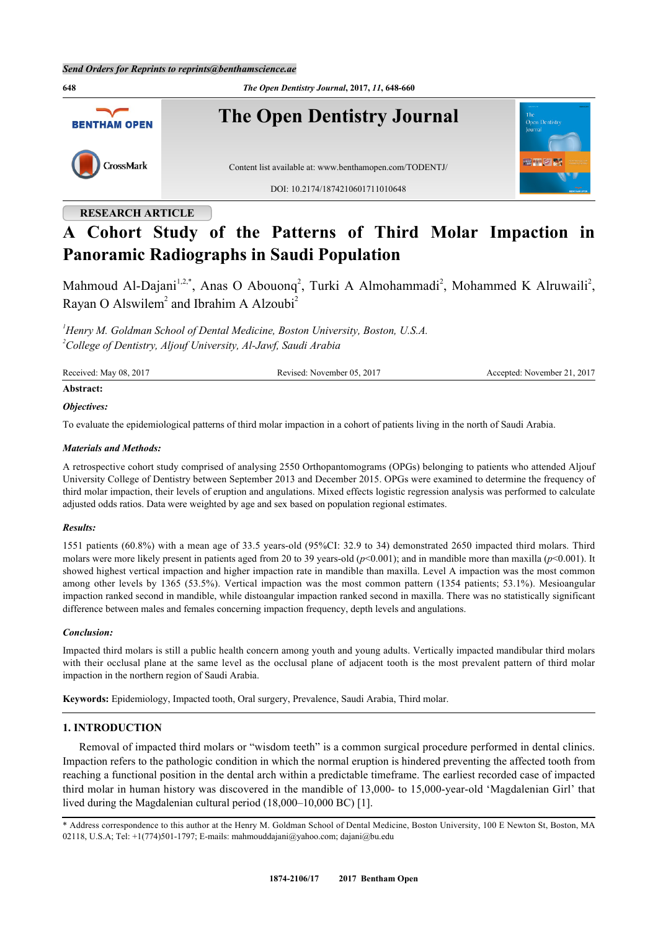

# **RESEARCH ARTICLE**

# **A Cohort Study of the Patterns of Third Molar Impaction in Panoramic Radiographs in Saudi Population**

Mahmoud Al-Dajani<sup>[1](#page-0-0)[,2,](#page-0-1)[\\*](#page-0-2)</sup>, Anas O Abouonq<sup>[2](#page-0-1)</sup>, Turki A Almohammadi<sup>2</sup>, Mohammed K Alruwaili<sup>2</sup>, Rayan O Alswilem<sup>[2](#page-0-1)</sup> and Ibrahim A Alzoubi<sup>2</sup>

<span id="page-0-1"></span><span id="page-0-0"></span>*<sup>1</sup>Henry M. Goldman School of Dental Medicine, Boston University, Boston, U.S.A. <sup>2</sup>College of Dentistry, Aljouf University, Al-Jawf, Saudi Arabia*

| Received: May 08, 2017 | Revised: November 05, 2017 | Accepted: November 21, 2017 |
|------------------------|----------------------------|-----------------------------|
|                        |                            |                             |

# **Abstract:**

# *Objectives:*

To evaluate the epidemiological patterns of third molar impaction in a cohort of patients living in the north of Saudi Arabia.

# *Materials and Methods:*

A retrospective cohort study comprised of analysing 2550 Orthopantomograms (OPGs) belonging to patients who attended Aljouf University College of Dentistry between September 2013 and December 2015. OPGs were examined to determine the frequency of third molar impaction, their levels of eruption and angulations. Mixed effects logistic regression analysis was performed to calculate adjusted odds ratios. Data were weighted by age and sex based on population regional estimates.

# *Results:*

1551 patients (60.8%) with a mean age of 33.5 years-old (95%CI: 32.9 to 34) demonstrated 2650 impacted third molars. Third molars were more likely present in patients aged from 20 to 39 years-old (*p*<0.001); and in mandible more than maxilla (*p*<0.001). It showed highest vertical impaction and higher impaction rate in mandible than maxilla. Level A impaction was the most common among other levels by 1365 (53.5%). Vertical impaction was the most common pattern (1354 patients; 53.1%). Mesioangular impaction ranked second in mandible, while distoangular impaction ranked second in maxilla. There was no statistically significant difference between males and females concerning impaction frequency, depth levels and angulations.

# *Conclusion:*

Impacted third molars is still a public health concern among youth and young adults. Vertically impacted mandibular third molars with their occlusal plane at the same level as the occlusal plane of adjacent tooth is the most prevalent pattern of third molar impaction in the northern region of Saudi Arabia.

**Keywords:** Epidemiology, Impacted tooth, Oral surgery, Prevalence, Saudi Arabia, Third molar.

# **1. INTRODUCTION**

Removal of impacted third molars or "wisdom teeth" is a common surgical procedure performed in dental clinics. Impaction refers to the pathologic condition in which the normal eruption is hindered preventing the affected tooth from reaching a functional position in the dental arch within a predictable timeframe. The earliest recorded case of impacted third molar in human history was discovered in the mandible of 13,000- to 15,000-year-old 'Magdalenian Girl' that lived during the Magdalenian cultural period (18,000–10,000 BC) [[1\]](#page-11-0).

<span id="page-0-2"></span>\* Address correspondence to this author at the Henry M. Goldman School of Dental Medicine, Boston University, 100 E Newton St, Boston, MA 02118, U.S.A; Tel: +1(774)501-1797; E-mails: [mahmouddajani@yahoo.com;](mailto:mahmouddajani@yahoo.com) [dajani@bu.edu](mailto:dajani@bu.edu)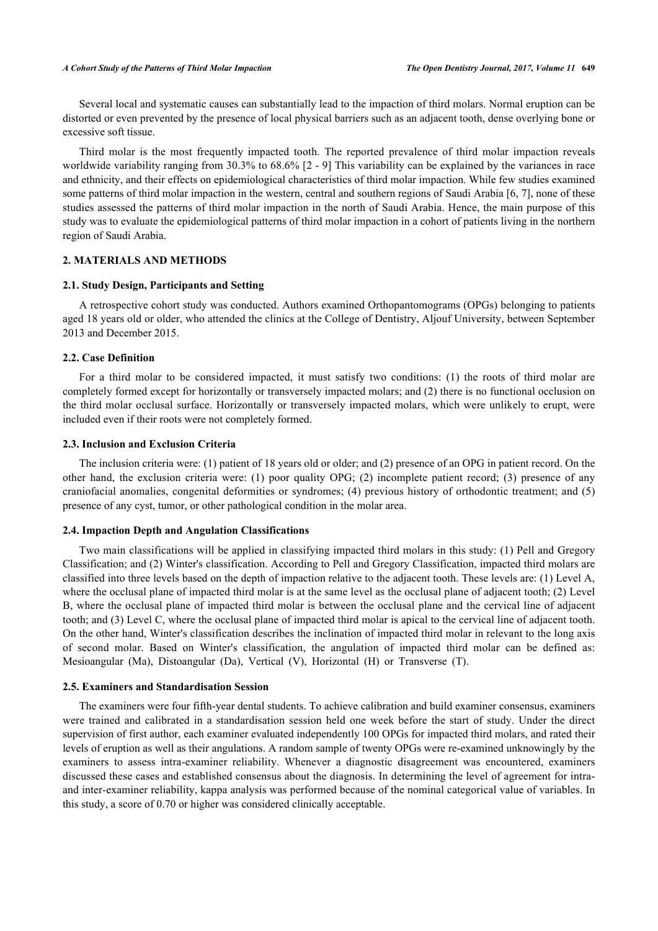Several local and systematic causes can substantially lead to the impaction of third molars. Normal eruption can be distorted or even prevented by the presence of local physical barriers such as an adjacent tooth, dense overlying bone or excessive soft tissue.

Third molar is the most frequently impacted tooth. The reported prevalence of third molar impaction reveals worldwide variability ranging from 30.3% to 68.6% [\[2](#page-11-1) - [9\]](#page-11-2) This variability can be explained by the variances in race and ethnicity, and their effects on epidemiological characteristics of third molar impaction. While few studies examined some patterns of third molar impaction in the western, central and southern regions of Saudi Arabia [[6,](#page-11-3) [7\]](#page-11-4), none of these studies assessed the patterns of third molar impaction in the north of Saudi Arabia. Hence, the main purpose of this study was to evaluate the epidemiological patterns of third molar impaction in a cohort of patients living in the northern region of Saudi Arabia.

# **2. MATERIALS AND METHODS**

## **2.1. Study Design, Participants and Setting**

A retrospective cohort study was conducted. Authors examined Orthopantomograms (OPGs) belonging to patients aged 18 years old or older, who attended the clinics at the College of Dentistry, Aljouf University, between September 2013 and December 2015.

# **2.2. Case Definition**

For a third molar to be considered impacted, it must satisfy two conditions: (1) the roots of third molar are completely formed except for horizontally or transversely impacted molars; and (2) there is no functional occlusion on the third molar occlusal surface. Horizontally or transversely impacted molars, which were unlikely to erupt, were included even if their roots were not completely formed.

#### **2.3. Inclusion and Exclusion Criteria**

The inclusion criteria were: (1) patient of 18 years old or older; and (2) presence of an OPG in patient record. On the other hand, the exclusion criteria were: (1) poor quality OPG; (2) incomplete patient record; (3) presence of any craniofacial anomalies, congenital deformities or syndromes; (4) previous history of orthodontic treatment; and (5) presence of any cyst, tumor, or other pathological condition in the molar area.

#### **2.4. Impaction Depth and Angulation Classifications**

Two main classifications will be applied in classifying impacted third molars in this study: (1) Pell and Gregory Classification; and (2) Winter's classification. According to Pell and Gregory Classification, impacted third molars are classified into three levels based on the depth of impaction relative to the adjacent tooth. These levels are: (1) Level A, where the occlusal plane of impacted third molar is at the same level as the occlusal plane of adjacent tooth; (2) Level B, where the occlusal plane of impacted third molar is between the occlusal plane and the cervical line of adjacent tooth; and (3) Level C, where the occlusal plane of impacted third molar is apical to the cervical line of adjacent tooth. On the other hand, Winter's classification describes the inclination of impacted third molar in relevant to the long axis of second molar. Based on Winter's classification, the angulation of impacted third molar can be defined as: Mesioangular (Ma), Distoangular (Da), Vertical (V), Horizontal (H) or Transverse (T).

#### **2.5. Examiners and Standardisation Session**

The examiners were four fifth-year dental students. To achieve calibration and build examiner consensus, examiners were trained and calibrated in a standardisation session held one week before the start of study. Under the direct supervision of first author, each examiner evaluated independently 100 OPGs for impacted third molars, and rated their levels of eruption as well as their angulations. A random sample of twenty OPGs were re-examined unknowingly by the examiners to assess intra-examiner reliability. Whenever a diagnostic disagreement was encountered, examiners discussed these cases and established consensus about the diagnosis. In determining the level of agreement for intraand inter-examiner reliability, kappa analysis was performed because of the nominal categorical value of variables. In this study, a score of 0.70 or higher was considered clinically acceptable.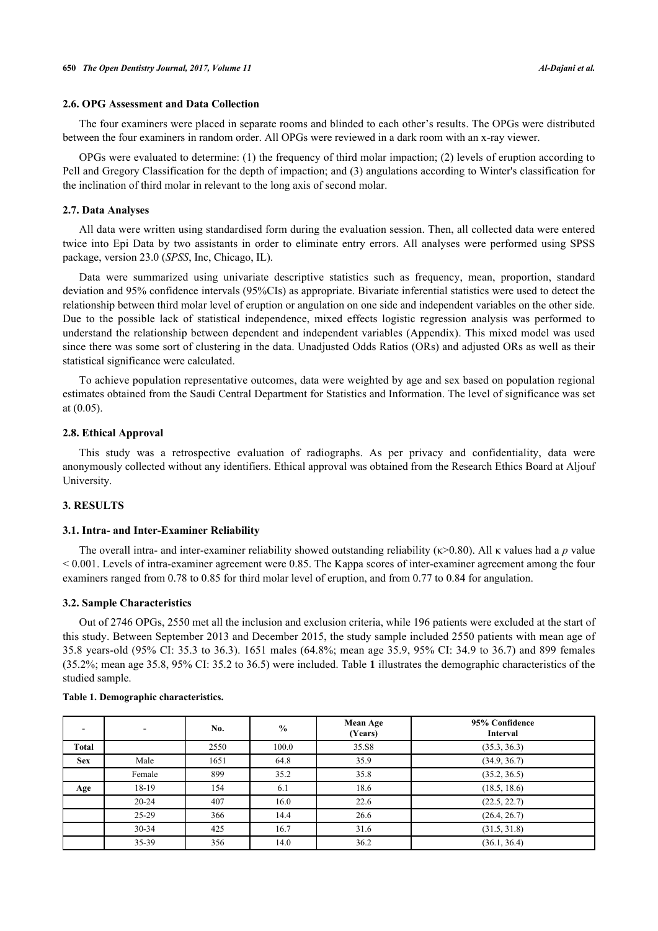# **2.6. OPG Assessment and Data Collection**

The four examiners were placed in separate rooms and blinded to each other's results. The OPGs were distributed between the four examiners in random order. All OPGs were reviewed in a dark room with an x-ray viewer.

OPGs were evaluated to determine: (1) the frequency of third molar impaction; (2) levels of eruption according to Pell and Gregory Classification for the depth of impaction; and (3) angulations according to Winter's classification for the inclination of third molar in relevant to the long axis of second molar.

#### **2.7. Data Analyses**

All data were written using standardised form during the evaluation session. Then, all collected data were entered twice into Epi Data by two assistants in order to eliminate entry errors. All analyses were performed using SPSS package, version 23.0 (*SPSS*, Inc, Chicago, IL).

Data were summarized using univariate descriptive statistics such as frequency, mean, proportion, standard deviation and 95% confidence intervals (95%CIs) as appropriate. Bivariate inferential statistics were used to detect the relationship between third molar level of eruption or angulation on one side and independent variables on the other side. Due to the possible lack of statistical independence, mixed effects logistic regression analysis was performed to understand the relationship between dependent and independent variables (Appendix). This mixed model was used since there was some sort of clustering in the data. Unadjusted Odds Ratios (ORs) and adjusted ORs as well as their statistical significance were calculated.

To achieve population representative outcomes, data were weighted by age and sex based on population regional estimates obtained from the Saudi Central Department for Statistics and Information. The level of significance was set at (0.05).

# **2.8. Ethical Approval**

This study was a retrospective evaluation of radiographs. As per privacy and confidentiality, data were anonymously collected without any identifiers. Ethical approval was obtained from the Research Ethics Board at Aljouf University.

#### **3. RESULTS**

## **3.1. Intra- and Inter-Examiner Reliability**

The overall intra- and inter-examiner reliability showed outstanding reliability (κ>0.80). All κ values had a *p* value < 0.001. Levels of intra-examiner agreement were 0.85. The Kappa scores of inter-examiner agreement among the four examiners ranged from 0.78 to 0.85 for third molar level of eruption, and from 0.77 to 0.84 for angulation.

# **3.2. Sample Characteristics**

Out of 2746 OPGs, 2550 met all the inclusion and exclusion criteria, while 196 patients were excluded at the start of this study. Between September 2013 and December 2015, the study sample included 2550 patients with mean age of 35.8 years-old (95% CI: 35.3 to 36.3). 1651 males (64.8%; mean age 35.9, 95% CI: 34.9 to 36.7) and 899 females (35.2%; mean age 35.8, 95% CI: 35.2 to 36.5) were included. Table **[1](#page-2-0)** illustrates the demographic characteristics of the studied sample.

|            | $\overline{\phantom{a}}$ | No.          | $\frac{0}{0}$ | <b>Mean Age</b><br>(Years) | 95% Confidence<br><b>Interval</b> |
|------------|--------------------------|--------------|---------------|----------------------------|-----------------------------------|
| Total      |                          | 2550         | 100.0         | 35.S8                      | (35.3, 36.3)                      |
| <b>Sex</b> | Male                     | 1651<br>64.8 |               | 35.9                       | (34.9, 36.7)                      |
|            | Female                   | 899          | 35.2          | 35.8                       | (35.2, 36.5)                      |
| Age        | 18-19                    | 154          | 6.1           | 18.6                       | (18.5, 18.6)                      |
|            | $20 - 24$                | 407          | 16.0          | 22.6                       | (22.5, 22.7)                      |
|            | $25-29$                  | 366          | 14.4          | 26.6                       | (26.4, 26.7)                      |
|            | $30 - 34$                | 425          | 16.7          | 31.6                       | (31.5, 31.8)                      |
|            | $35 - 39$                | 356          | 14.0          | 36.2                       | (36.1, 36.4)                      |

#### <span id="page-2-0"></span>**Table 1. Demographic characteristics.**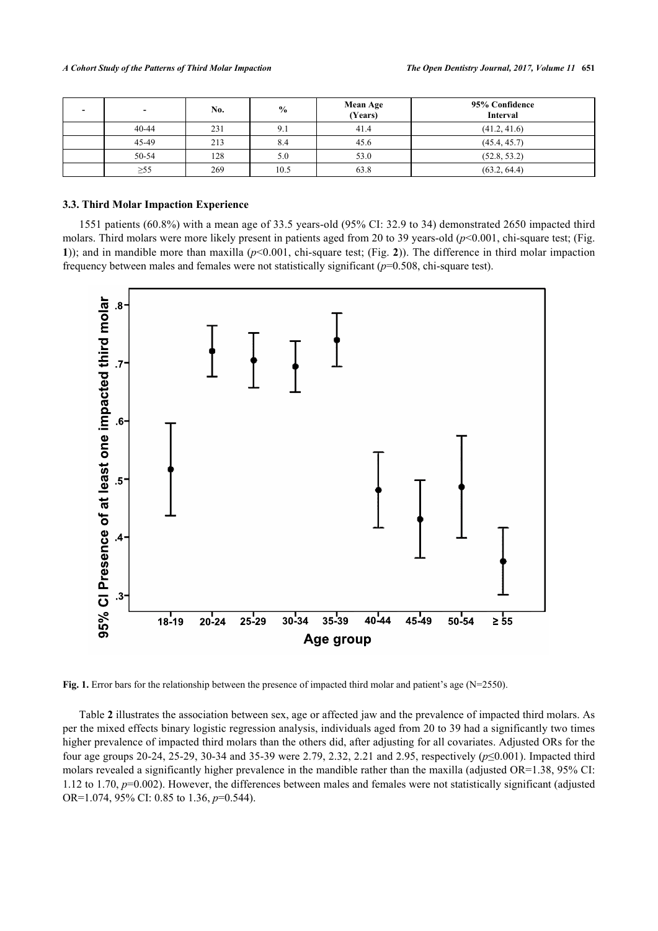| $\overline{\phantom{0}}$ | No. | $\frac{0}{0}$ | <b>Mean Age</b><br>(Years) | 95% Confidence<br><b>Interval</b> |
|--------------------------|-----|---------------|----------------------------|-----------------------------------|
| $40 - 44$                | 231 |               | 41.4                       | (41.2, 41.6)                      |
| 45-49                    | 213 | 8.4           | 45.6                       | (45.4, 45.7)                      |
| 50-54                    | 128 | 5.0           | 53.0                       | (52.8, 53.2)                      |
| $\geq 55$                | 269 | 10.5          | 63.8                       | (63.2, 64.4)                      |

#### **3.3. Third Molar Impaction Experience**

1551 patients (60.8%) with a mean age of 33.5 years-old (95% CI: 32.9 to 34) demonstrated 2650 impacted third molars. Third molars were more likely present in patients aged from 20 to 39 years-old (*p*<0.001, chi-square test; (Fig. **[1](#page-3-0)**)); and in mandible more than maxilla (*p*<0.001, chi-square test; (Fig. **[2](#page-3-1)**)). The difference in third molar impaction frequency between males and females were not statistically significant (*p*=0.508, chi-square test).

<span id="page-3-0"></span>

**Fig. 1.** Error bars for the relationship between the presence of impacted third molar and patient's age (N=2550).

<span id="page-3-1"></span>Table **[2](#page-4-0)** illustrates the association between sex, age or affected jaw and the prevalence of impacted third molars. As per the mixed effects binary logistic regression analysis, individuals aged from 20 to 39 had a significantly two times higher prevalence of impacted third molars than the others did, after adjusting for all covariates. Adjusted ORs for the four age groups 20-24, 25-29, 30-34 and 35-39 were 2.79, 2.32, 2.21 and 2.95, respectively (*p*≤0.001). Impacted third molars revealed a significantly higher prevalence in the mandible rather than the maxilla (adjusted OR=1.38, 95% CI: 1.12 to 1.70, *p*=0.002). However, the differences between males and females were not statistically significant (adjusted OR=1.074, 95% CI: 0.85 to 1.36, *p*=0.544).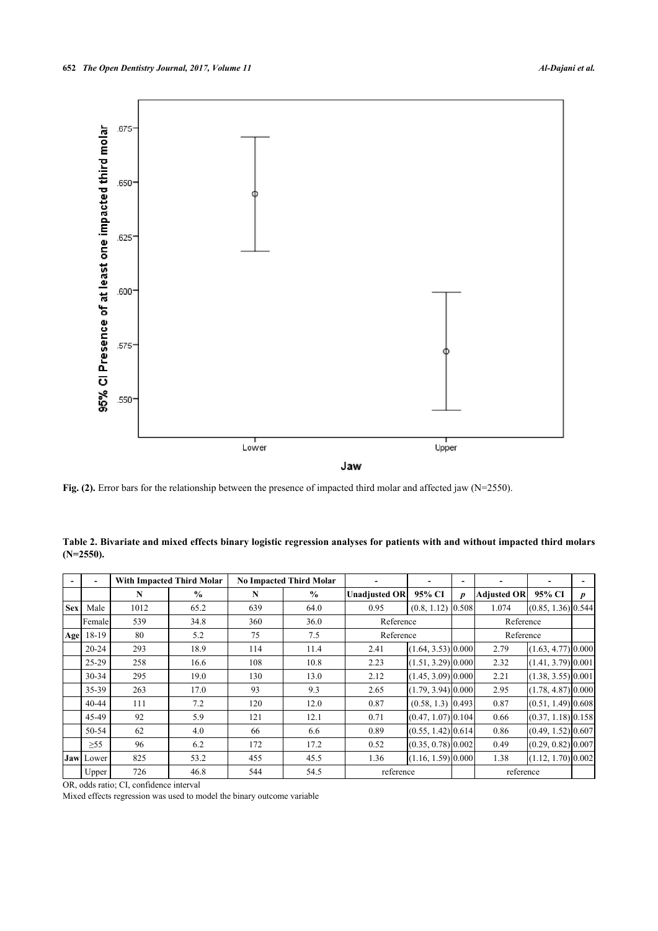

Fig. (2). Error bars for the relationship between the presence of impacted third molar and affected jaw (N=2550).

|            |           |      | With Impacted Third Molar |     | <b>No Impacted Third Molar</b> |                                |                      | $\overline{\phantom{0}}$ |                    |                      |                  |
|------------|-----------|------|---------------------------|-----|--------------------------------|--------------------------------|----------------------|--------------------------|--------------------|----------------------|------------------|
|            |           | N    | $\frac{0}{0}$             | N   | $\frac{0}{0}$                  | <b>Unadjusted OR</b>           | 95% CI               | $\boldsymbol{p}$         | <b>Adjusted OR</b> | 95% CI               | $\boldsymbol{p}$ |
| <b>Sex</b> | Male      | 1012 | 65.2                      | 639 | 64.0                           | 0.95                           | (0.8, 1.12)          | 0.508                    | 1.074              | $(0.85, 1.36)$ 0.544 |                  |
|            | Femalel   | 539  | 34.8                      | 360 | 36.0                           | Reference                      |                      |                          | Reference          |                      |                  |
| Age        | 18-19     | 80   | 5.2                       | 75  | 7.5                            | Reference                      |                      | Reference                |                    |                      |                  |
|            | $20 - 24$ | 293  | 18.9                      | 114 | 11.4                           | 2.41<br>$(1.64, 3.53)$ [0.000] |                      |                          | 2.79               | $(1.63, 4.77)$ 0.000 |                  |
|            | $25-29$   | 258  | 16.6                      | 108 | 10.8                           | 2.23                           | $(1.51, 3.29)$ 0.000 |                          | 2.32               | (1.41, 3.79)   0.001 |                  |
|            | $30 - 34$ | 295  | 19.0                      | 130 | 13.0                           | 2.12                           | $(1.45, 3.09)$ 0.000 |                          | 2.21               | $(1.38, 3.55)$ 0.001 |                  |
|            | 35-39     | 263  | 17.0                      | 93  | 9.3                            | 2.65                           | $(1.79, 3.94)$ 0.000 |                          | 2.95               | $(1.78, 4.87)$ 0.000 |                  |
|            | 40-44     | 111  | 7.2                       | 120 | 12.0                           | 0.87                           | $(0.58, 1.3)$ 0.493  |                          | 0.87               | $(0.51, 1.49)$ 0.608 |                  |
|            | 45-49     | 92   | 5.9                       | 121 | 12.1                           | 0.71                           | $(0.47, 1.07)$ 0.104 |                          | 0.66               | $(0.37, 1.18)$ 0.158 |                  |
|            | 50-54     | 62   | 4.0                       | 66  | 6.6                            | 0.89                           | $(0.55, 1.42)$ 0.614 |                          | 0.86               | $(0.49, 1.52)$ 0.607 |                  |
|            | $\geq 55$ | 96   | 6.2                       | 172 | 17.2                           | 0.52                           | $(0.35, 0.78)$ 0.002 |                          | 0.49               | $(0.29, 0.82)$ 0.007 |                  |
|            | Jaw Lower | 825  | 53.2                      | 455 | 45.5                           | 1.36                           | $(1.16, 1.59)$ 0.000 |                          | 1.38               | $(1.12, 1.70)$ 0.002 |                  |
|            | Upper     | 726  | 46.8                      | 544 | 54.5                           | reference                      |                      |                          | reference          |                      |                  |

<span id="page-4-0"></span>**Table 2. Bivariate and mixed effects binary logistic regression analyses for patients with and without impacted third molars (N=2550).**

OR, odds ratio; CI, confidence interval

Mixed effects regression was used to model the binary outcome variable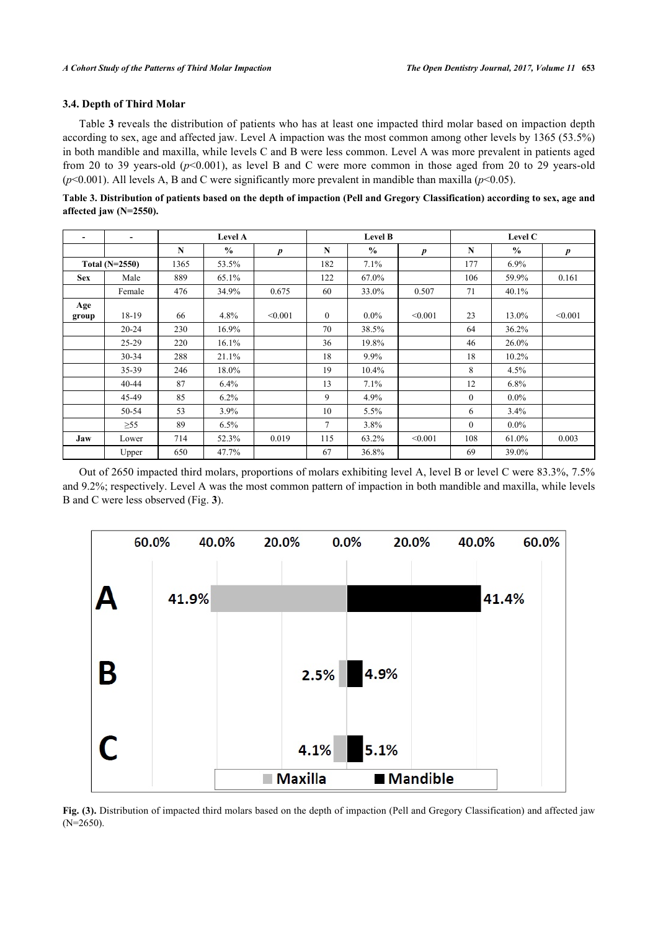# **3.4. Depth of Third Molar**

Table **[3](#page-5-0)** reveals the distribution of patients who has at least one impacted third molar based on impaction depth according to sex, age and affected jaw. Level A impaction was the most common among other levels by 1365 (53.5%) in both mandible and maxilla, while levels C and B were less common. Level A was more prevalent in patients aged from 20 to 39 years-old ( $p<0.001$ ), as level B and C were more common in those aged from 20 to 29 years-old  $(p<0.001)$ . All levels A, B and C were significantly more prevalent in mandible than maxilla  $(p<0.05)$ .

<span id="page-5-0"></span>

| Table 3. Distribution of patients based on the depth of impaction (Pell and Gregory Classification) according to sex, age and |  |  |
|-------------------------------------------------------------------------------------------------------------------------------|--|--|
| affected jaw $(N=2550)$ .                                                                                                     |  |  |

| $\overline{a}$ |           |             | <b>Level A</b> |                  |              | <b>Level B</b> |                  |              | Level C       |         |
|----------------|-----------|-------------|----------------|------------------|--------------|----------------|------------------|--------------|---------------|---------|
|                |           | $\mathbf N$ | $\frac{0}{0}$  | $\boldsymbol{p}$ | N            | $\frac{0}{0}$  | $\boldsymbol{p}$ | N            | $\frac{0}{0}$ | p       |
| Total (N=2550) |           | 1365        | 53.5%          |                  | 182          | 7.1%           |                  | 177          | $6.9\%$       |         |
| <b>Sex</b>     | Male      | 889         | 65.1%          |                  | 122          | 67.0%          |                  | 106          | 59.9%         | 0.161   |
|                | Female    | 476         | 34.9%          | 0.675            | 60           | 33.0%          | 0.507            | 71           | 40.1%         |         |
| Age<br>group   | 18-19     | 66          | 4.8%           | < 0.001          | $\mathbf{0}$ | $0.0\%$        | < 0.001          | 23           | 13.0%         | < 0.001 |
|                | $20 - 24$ | 230         | 16.9%          |                  | 70           | 38.5%          |                  | 64           | 36.2%         |         |
|                | $25-29$   | 220         | 16.1%          |                  | 36           | 19.8%          |                  | 46           | 26.0%         |         |
|                | $30 - 34$ | 288         | 21.1%          |                  | 18           | $9.9\%$        |                  | 18           | $10.2\%$      |         |
|                | $35 - 39$ | 246         | 18.0%          |                  | 19           | 10.4%          |                  | 8            | 4.5%          |         |
|                | $40 - 44$ | 87          | 6.4%           |                  | 13           | 7.1%           |                  | 12           | $6.8\%$       |         |
|                | 45-49     | 85          | 6.2%           |                  | 9            | 4.9%           |                  | $\mathbf{0}$ | $0.0\%$       |         |
|                | 50-54     | 53          | 3.9%           |                  | 10           | 5.5%           |                  | 6            | 3.4%          |         |
|                | $\geq 55$ | 89          | 6.5%           |                  | 7            | 3.8%           |                  | $\mathbf{0}$ | $0.0\%$       |         |
| Jaw            | Lower     | 714         | 52.3%          | 0.019            | 115          | 63.2%          | < 0.001          | 108          | 61.0%         | 0.003   |
|                | Upper     | 650         | 47.7%          |                  | 67           | 36.8%          |                  | 69           | 39.0%         |         |

Out of 2650 impacted third molars, proportions of molars exhibiting level A, level B or level C were 83.3%, 7.5% and 9.2%; respectively. Level A was the most common pattern of impaction in both mandible and maxilla, while levels B and C were less observed (Fig. **[3](#page-5-1)**).

<span id="page-5-1"></span>

**Fig. (3).** Distribution of impacted third molars based on the depth of impaction (Pell and Gregory Classification) and affected jaw (N=2650).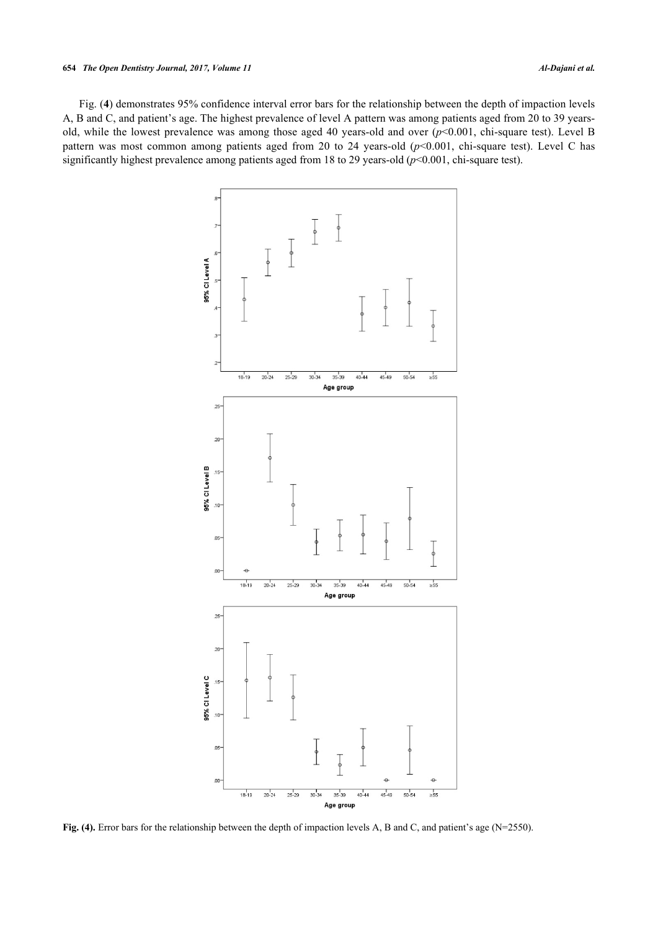#### **654** *The Open Dentistry Journal, 2017, Volume 11 Al-Dajani et al.*

<span id="page-6-0"></span>Fig. (**[4](#page-6-0)**) demonstrates 95% confidence interval error bars for the relationship between the depth of impaction levels A, B and C, and patient's age. The highest prevalence of level A pattern was among patients aged from 20 to 39 yearsold, while the lowest prevalence was among those aged 40 years-old and over (*p*<0.001, chi-square test). Level B pattern was most common among patients aged from 20 to 24 years-old ( $p$ <0.001, chi-square test). Level C has significantly highest prevalence among patients aged from 18 to 29 years-old (*p*<0.001, chi-square test).



**Fig. (4).** Error bars for the relationship between the depth of impaction levels A, B and C, and patient's age (N=2550).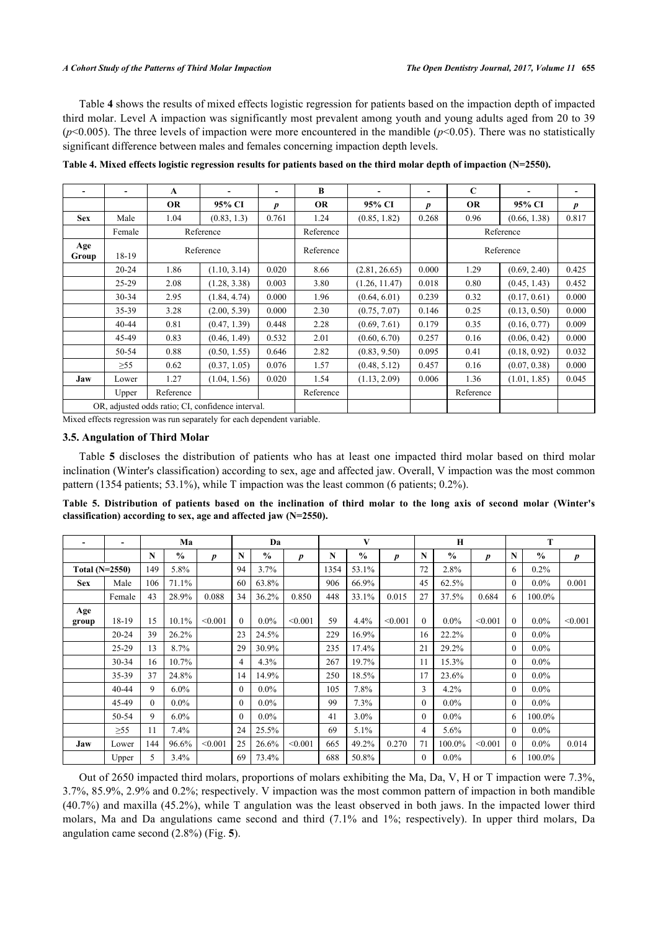Table **[4](#page-7-0)** shows the results of mixed effects logistic regression for patients based on the impaction depth of impacted third molar. Level A impaction was significantly most prevalent among youth and young adults aged from 20 to 39  $(p<0.005)$ . The three levels of impaction were more encountered in the mandible  $(p<0.05)$ . There was no statistically significant difference between males and females concerning impaction depth levels.

|              | -                  | A                    | $\overline{\phantom{0}}$                          | $\overline{\phantom{a}}$ | B         | $\blacksquare$ | $\overline{\phantom{a}}$ | C         | $\overline{\phantom{a}}$ | $\overline{\phantom{0}}$ |
|--------------|--------------------|----------------------|---------------------------------------------------|--------------------------|-----------|----------------|--------------------------|-----------|--------------------------|--------------------------|
|              |                    | OR                   | 95% CI                                            | $\boldsymbol{p}$         | <b>OR</b> | 95% CI         | p                        | <b>OR</b> | 95% CI                   | p                        |
| <b>Sex</b>   | Male               | (0.83, 1.3)<br>1.04  |                                                   | 0.761                    | 1.24      | (0.85, 1.82)   | 0.268                    | 0.96      | (0.66, 1.38)             | 0.817                    |
|              | Female             |                      | Reference                                         |                          | Reference |                |                          |           | Reference                |                          |
| Age<br>Group | 18-19              |                      | Reference                                         |                          | Reference |                |                          |           | Reference                |                          |
|              | $20 - 24$          | (1.10, 3.14)<br>1.86 |                                                   | 0.020                    | 8.66      | (2.81, 26.65)  | 0.000                    | 1.29      | (0.69, 2.40)             | 0.425                    |
|              | $25-29$            | 2.08                 | (1.28, 3.38)                                      | 0.003                    | 3.80      | (1.26, 11.47)  | 0.018                    | 0.80      | (0.45, 1.43)             | 0.452                    |
|              | $30 - 34$          | 2.95<br>(1.84, 4.74) |                                                   | 0.000                    | 1.96      | (0.64, 6.01)   | 0.239                    | 0.32      | (0.17, 0.61)             | 0.000                    |
|              | 35-39              | 3.28                 | (2.00, 5.39)                                      | 0.000                    | 2.30      | (0.75, 7.07)   | 0.146                    | 0.25      | (0.13, 0.50)             | 0.000                    |
|              | $40 - 44$          | 0.81                 | (0.47, 1.39)                                      | 0.448                    | 2.28      | (0.69, 7.61)   | 0.179                    | 0.35      | (0.16, 0.77)             | 0.009                    |
|              | 45-49              | 0.83                 | (0.46, 1.49)                                      | 0.532                    | 2.01      | (0.60, 6.70)   | 0.257                    | 0.16      | (0.06, 0.42)             | 0.000                    |
|              | 50-54              | 0.88                 | (0.50, 1.55)                                      | 0.646                    | 2.82      | (0.83, 9.50)   | 0.095                    | 0.41      | (0.18, 0.92)             | 0.032                    |
|              | $\geq 55$          | 0.62                 | (0.37, 1.05)                                      | 0.076                    | 1.57      | (0.48, 5.12)   | 0.457                    | 0.16      | (0.07, 0.38)             | 0.000                    |
| Jaw          | Lower              | 1.27                 | (1.04, 1.56)                                      | 0.020                    | 1.54      | (1.13, 2.09)   | 0.006                    | 1.36      | (1.01, 1.85)             | 0.045                    |
|              | Reference<br>Upper |                      |                                                   | Reference                |           |                | Reference                |           |                          |                          |
|              |                    |                      | OR, adjusted odds ratio; CI, confidence interval. |                          |           |                |                          |           |                          |                          |

<span id="page-7-0"></span>**Table 4. Mixed effects logistic regression results for patients based on the third molar depth of impaction (N=2550).**

Mixed effects regression was run separately for each dependent variable.

# **3.5. Angulation of Third Molar**

Table**5** discloses the distribution of patients who has at least one impacted third molar based on third molar inclination (Winter's classification) according to sex, age and affected jaw. Overall, V impaction was the most common pattern (1354 patients; 53.1%), while T impaction was the least common (6 patients; 0.2%).

<span id="page-7-1"></span>**Table 5. Distribution of patients based on the inclination of third molar to the long axis of second molar (Winter's classification) according to sex, age and affected jaw (N=2550).**

|                  | -         |             | Ma            |                  |              | Da            |         |      | V             |         |          | H             |                  | т        |               |         |
|------------------|-----------|-------------|---------------|------------------|--------------|---------------|---------|------|---------------|---------|----------|---------------|------------------|----------|---------------|---------|
|                  |           | $\mathbf N$ | $\frac{0}{0}$ | $\boldsymbol{p}$ | N            | $\frac{0}{0}$ | p       | N    | $\frac{0}{0}$ | p       | N        | $\frac{0}{0}$ | $\boldsymbol{p}$ | N        | $\frac{6}{6}$ | p       |
| Total $(N=2550)$ |           | 149         | 5.8%          |                  | 94           | 3.7%          |         | 1354 | 53.1%         |         | 72       | 2.8%          |                  | 6        | 0.2%          |         |
| <b>Sex</b>       | Male      | 106         | 71.1%         |                  | 60           | 63.8%         |         | 906  | 66.9%         |         | 45       | 62.5%         |                  | $\Omega$ | $0.0\%$       | 0.001   |
|                  | Female    | 43          | 28.9%         | 0.088            | 34           | 36.2%         | 0.850   | 448  | 33.1%         | 0.015   | 27       | 37.5%         | 0.684            | 6        | 100.0%        |         |
| Age<br>group     | 18-19     | 15          | 10.1%         | < 0.001          | $\theta$     | $0.0\%$       | < 0.001 | 59   | 4.4%          | < 0.001 |          | $0.0\%$       | < 0.001          | $\Omega$ | $0.0\%$       | < 0.001 |
|                  | $20 - 24$ | 39          | 26.2%         |                  | 23           | 24.5%         |         | 229  | 16.9%         |         | 16       | 22.2%         |                  | $\Omega$ | $0.0\%$       |         |
|                  | $25 - 29$ | 13          | 8.7%          |                  | 29           | 30.9%         |         | 235  | 17.4%         |         | 21       | 29.2%         |                  | $\Omega$ | $0.0\%$       |         |
|                  | $30 - 34$ | 16          | 10.7%         |                  | 4            | 4.3%          |         | 267  | 19.7%         |         | 11       | 15.3%         |                  | $\theta$ | $0.0\%$       |         |
|                  | 35-39     | 37          | 24.8%         |                  | 14           | 14.9%         |         | 250  | 18.5%         |         | 17       | 23.6%         |                  | $\theta$ | $0.0\%$       |         |
|                  | 40-44     | 9           | $6.0\%$       |                  | $\mathbf{0}$ | $0.0\%$       |         | 105  | 7.8%          |         | 3        | 4.2%          |                  | $\theta$ | $0.0\%$       |         |
|                  | 45-49     | $\Omega$    | $0.0\%$       |                  | $\Omega$     | $0.0\%$       |         | 99   | 7.3%          |         | $\Omega$ | $0.0\%$       |                  | $\theta$ | $0.0\%$       |         |
|                  | 50-54     | 9           | 6.0%          |                  | $\Omega$     | $0.0\%$       |         | 41   | 3.0%          |         | $\theta$ | $0.0\%$       |                  | 6        | 100.0%        |         |
|                  | $\geq 55$ | 11          | 7.4%          |                  | 24           | 25.5%         |         | 69   | 5.1%          |         | 4        | 5.6%          |                  | $\theta$ | $0.0\%$       |         |
| Jaw              | Lower     | 144         | 96.6%         | < 0.001          | 25           | 26.6%         | < 0.001 | 665  | 49.2%         | 0.270   | 71       | 100.0%        | < 0.001          | $\Omega$ | $0.0\%$       | 0.014   |
|                  | Upper     | 5           | 3.4%          |                  | 69           | 73.4%         |         | 688  | 50.8%         |         | $\theta$ | $0.0\%$       |                  | 6        | 100.0%        |         |

<span id="page-7-2"></span>Out of 2650 impacted third molars, proportions of molars exhibiting the Ma, Da, V, H or T impaction were 7.3%, 3.7%, 85.9%, 2.9% and 0.2%; respectively. V impaction was the most common pattern of impaction in both mandible (40.7%) and maxilla (45.2%), while T angulation was the least observed in both jaws. In the impacted lower third molars, Ma and Da angulations came second and third (7.1% and 1%; respectively). In upper third molars, Da angulation came second (2.8%) (Fig. **[5](#page-7-2)**).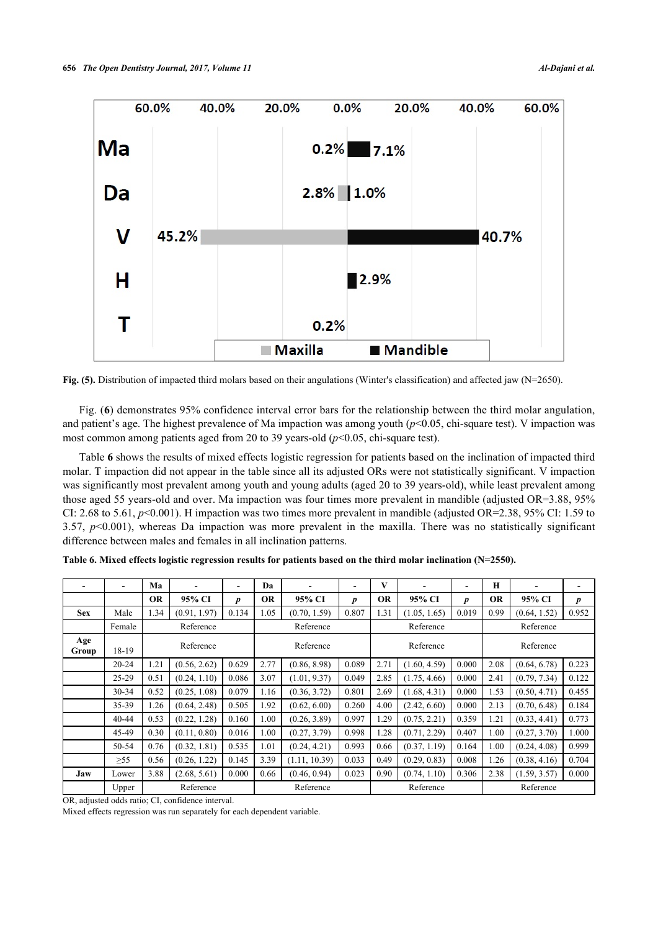

Fig. (5). Distribution of impacted third molars based on their angulations (Winter's classification) and affected jaw (N=2650).

Fig. (**[6](#page-8-0)**) demonstrates 95% confidence interval error bars for the relationship between the third molar angulation, and patient's age. The highest prevalence of Ma impaction was among youth (*p*<0.05, chi-square test). V impaction was most common among patients aged from 20 to 39 years-old ( $p$ <0.05, chi-square test).

Table **[6](#page-8-1)** shows the results of mixed effects logistic regression for patients based on the inclination of impacted third molar. T impaction did not appear in the table since all its adjusted ORs were not statistically significant. V impaction was significantly most prevalent among youth and young adults (aged 20 to 39 years-old), while least prevalent among those aged 55 years-old and over. Ma impaction was four times more prevalent in mandible (adjusted OR=3.88, 95% CI: 2.68 to 5.61,  $p$ <0.001). H impaction was two times more prevalent in mandible (adjusted OR=2.38, 95% CI: 1.59 to 3.57, *p*<0.001), whereas Da impaction was more prevalent in the maxilla. There was no statistically significant difference between males and females in all inclination patterns.

|              | $\overline{\phantom{0}}$ | Ma        | $\overline{\phantom{0}}$ | $\qquad \qquad \blacksquare$ | Da           | $\blacksquare$ | -                | V            | -            | $\overline{\phantom{0}}$ | H            | $\blacksquare$ | -                |  |
|--------------|--------------------------|-----------|--------------------------|------------------------------|--------------|----------------|------------------|--------------|--------------|--------------------------|--------------|----------------|------------------|--|
|              |                          | <b>OR</b> | 95% CI                   | $\boldsymbol{p}$             | <b>OR</b>    | 95% CI         | $\boldsymbol{p}$ | <b>OR</b>    | 95% CI       | $\boldsymbol{p}$         | <b>OR</b>    | 95% CI         | $\boldsymbol{p}$ |  |
| <b>Sex</b>   | Male                     | 1.34      | (0.91, 1.97)             | 0.134                        | 1.05         | (0.70, 1.59)   | 0.807            | 1.31         | (1.05, 1.65) | 0.019                    | 0.99         | (0.64, 1.52)   | 0.952            |  |
|              | Female                   |           | Reference                |                              |              | Reference      |                  |              | Reference    |                          |              | Reference      |                  |  |
| Age<br>Group | 18-19                    |           | Reference                |                              | Reference    |                |                  | Reference    |              |                          |              | Reference      |                  |  |
|              | $20 - 24$                | 1.21      | (0.56, 2.62)             | 0.629                        | 2.77         | (0.86, 8.98)   | 0.089            | 2.71         | (1.60, 4.59) | 0.000                    | 2.08         | (0.64, 6.78)   | 0.223            |  |
|              | $25-29$                  | 0.51      | (0.24, 1.10)             | 0.086                        | 3.07         | (1.01, 9.37)   | 0.049            | 2.85         | (1.75, 4.66) | 0.000                    | 2.41         | (0.79, 7.34)   | 0.122            |  |
|              | $30 - 34$                | 0.52      | (0.25, 1.08)<br>0.079    | 1.16                         | (0.36, 3.72) | 0.801          | 2.69             | (1.68, 4.31) | 0.000        | 1.53                     | (0.50, 4.71) | 0.455          |                  |  |
|              | 35-39                    | 1.26      | (0.64, 2.48)             | 0.505                        | 1.92         | (0.62, 6.00)   | 0.260            | 4.00         | (2.42, 6.60) | 0.000                    | 2.13         | (0.70, 6.48)   | 0.184            |  |
|              | $40 - 44$                | 0.53      | (0.22, 1.28)             | 0.160                        | 1.00         | (0.26, 3.89)   | 0.997            | 1.29         | (0.75, 2.21) | 0.359                    | 1.21         | (0.33, 4.41)   | 0.773            |  |
|              | 45-49                    | 0.30      | (0.11, 0.80)             | 0.016                        | 1.00         | (0.27, 3.79)   | 0.998            | 1.28         | (0.71, 2.29) | 0.407                    | 1.00         | (0.27, 3.70)   | 1.000            |  |
|              | 50-54                    | 0.76      | (0.32, 1.81)             | 0.535                        | 1.01         | (0.24, 4.21)   | 0.993            | 0.66         | (0.37, 1.19) | 0.164                    | 1.00         | (0.24, 4.08)   | 0.999            |  |
|              | $\geq 55$                | 0.56      | (0.26, 1.22)             | 0.145                        | 3.39         | (1.11, 10.39)  | 0.033            | 0.49         | (0.29, 0.83) | 0.008                    | 1.26         | (0.38, 4.16)   | 0.704            |  |
| Jaw          | Lower                    | 3.88      | (2.68, 5.61)             | 0.000                        | 0.66         | (0.46, 0.94)   | 0.023            | 0.90         | (0.74, 1.10) | 0.306                    | 2.38         | (1.59, 3.57)   | 0.000            |  |
|              | Upper                    |           | Reference                |                              |              | Reference      |                  |              | Reference    |                          |              | Reference      |                  |  |

<span id="page-8-1"></span>**Table 6. Mixed effects logistic regression results for patients based on the third molar inclination (N=2550).**

OR, adjusted odds ratio; CI, confidence interval.

<span id="page-8-0"></span>Mixed effects regression was run separately for each dependent variable.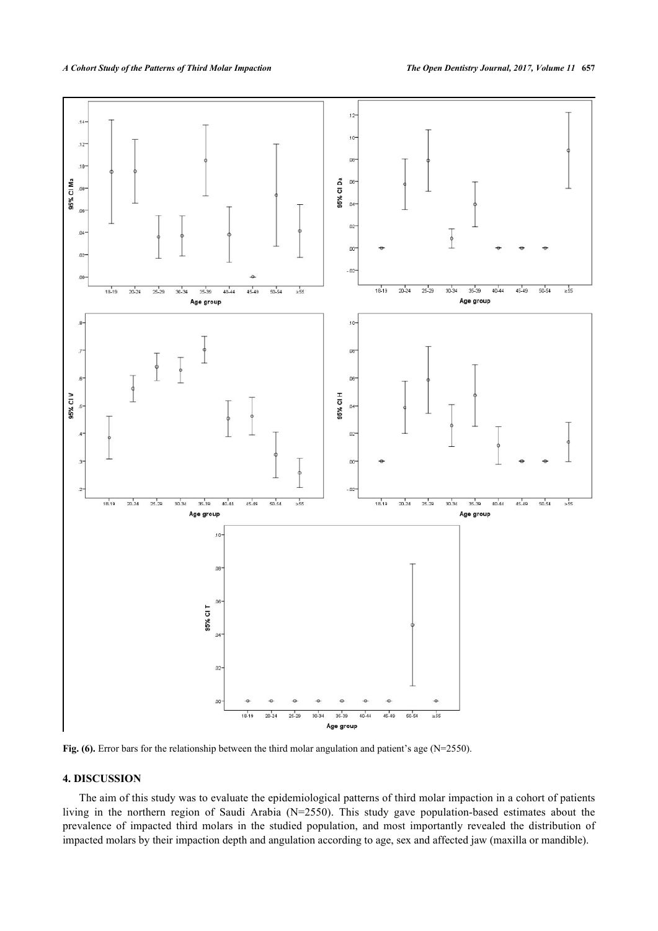

Fig. (6). Error bars for the relationship between the third molar angulation and patient's age (N=2550).

# **4. DISCUSSION**

The aim of this study was to evaluate the epidemiological patterns of third molar impaction in a cohort of patients living in the northern region of Saudi Arabia (N=2550). This study gave population-based estimates about the prevalence of impacted third molars in the studied population, and most importantly revealed the distribution of impacted molars by their impaction depth and angulation according to age, sex and affected jaw (maxilla or mandible).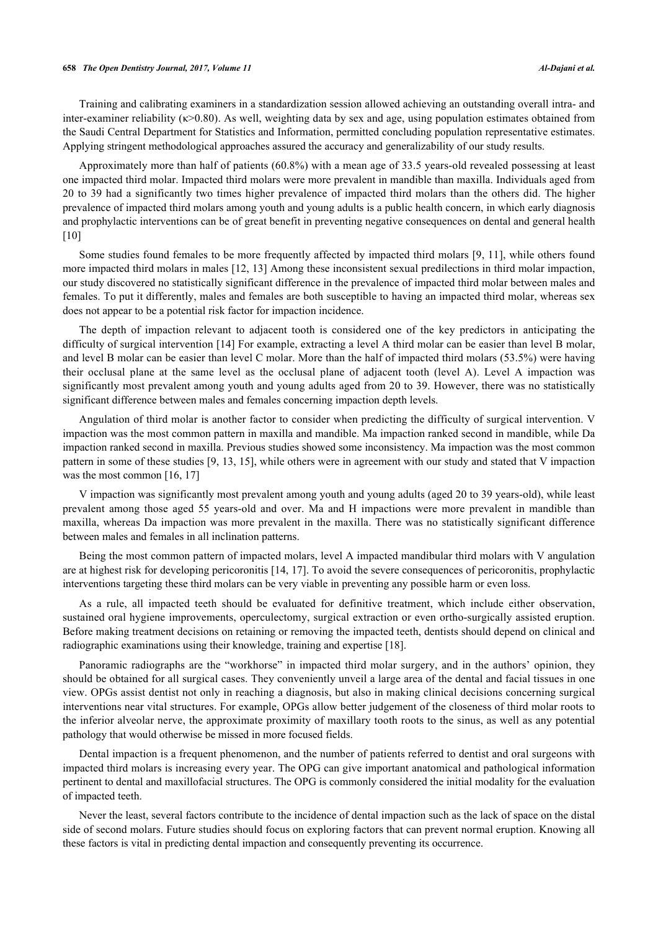#### **658** *The Open Dentistry Journal, 2017, Volume 11 Al-Dajani et al.*

Training and calibrating examiners in a standardization session allowed achieving an outstanding overall intra- and inter-examiner reliability (κ>0.80). As well, weighting data by sex and age, using population estimates obtained from the Saudi Central Department for Statistics and Information, permitted concluding population representative estimates. Applying stringent methodological approaches assured the accuracy and generalizability of our study results.

Approximately more than half of patients (60.8%) with a mean age of 33.5 years-old revealed possessing at least one impacted third molar. Impacted third molars were more prevalent in mandible than maxilla. Individuals aged from 20 to 39 had a significantly two times higher prevalence of impacted third molars than the others did. The higher prevalence of impacted third molars among youth and young adults is a public health concern, in which early diagnosis and prophylactic interventions can be of great benefit in preventing negative consequences on dental and general health [\[10](#page-12-0)]

Some studies found females to be more frequently affected by impacted third molars [[9,](#page-11-2) [11\]](#page-12-1), while others found more impacted third molars in males [[12](#page-12-2), [13](#page-12-3)] Among these inconsistent sexual predilections in third molar impaction, our study discovered no statistically significant difference in the prevalence of impacted third molar between males and females. To put it differently, males and females are both susceptible to having an impacted third molar, whereas sex does not appear to be a potential risk factor for impaction incidence.

The depth of impaction relevant to adjacent tooth is considered one of the key predictors in anticipating the difficulty of surgical intervention [\[14](#page-12-4)] For example, extracting a level A third molar can be easier than level B molar, and level B molar can be easier than level C molar. More than the half of impacted third molars (53.5%) were having their occlusal plane at the same level as the occlusal plane of adjacent tooth (level A). Level A impaction was significantly most prevalent among youth and young adults aged from 20 to 39. However, there was no statistically significant difference between males and females concerning impaction depth levels.

Angulation of third molar is another factor to consider when predicting the difficulty of surgical intervention. V impaction was the most common pattern in maxilla and mandible. Ma impaction ranked second in mandible, while Da impaction ranked second in maxilla. Previous studies showed some inconsistency. Ma impaction was the most common pattern in some of these studies [[9,](#page-11-2) [13](#page-12-3), [15\]](#page-12-5), while others were in agreement with our study and stated that V impaction was the most common [\[16](#page-12-6), [17](#page-12-7)]

V impaction was significantly most prevalent among youth and young adults (aged 20 to 39 years-old), while least prevalent among those aged 55 years-old and over. Ma and H impactions were more prevalent in mandible than maxilla, whereas Da impaction was more prevalent in the maxilla. There was no statistically significant difference between males and females in all inclination patterns.

Being the most common pattern of impacted molars, level A impacted mandibular third molars with V angulation are at highest risk for developing pericoronitis [[14,](#page-12-4) [17\]](#page-12-7). To avoid the severe consequences of pericoronitis, prophylactic interventions targeting these third molars can be very viable in preventing any possible harm or even loss.

As a rule, all impacted teeth should be evaluated for definitive treatment, which include either observation, sustained oral hygiene improvements, operculectomy, surgical extraction or even ortho-surgically assisted eruption. Before making treatment decisions on retaining or removing the impacted teeth, dentists should depend on clinical and radiographic examinations using their knowledge, training and expertise [[18\]](#page-12-8).

Panoramic radiographs are the "workhorse" in impacted third molar surgery, and in the authors' opinion, they should be obtained for all surgical cases. They conveniently unveil a large area of the dental and facial tissues in one view. OPGs assist dentist not only in reaching a diagnosis, but also in making clinical decisions concerning surgical interventions near vital structures. For example, OPGs allow better judgement of the closeness of third molar roots to the inferior alveolar nerve, the approximate proximity of maxillary tooth roots to the sinus, as well as any potential pathology that would otherwise be missed in more focused fields.

Dental impaction is a frequent phenomenon, and the number of patients referred to dentist and oral surgeons with impacted third molars is increasing every year. The OPG can give important anatomical and pathological information pertinent to dental and maxillofacial structures. The OPG is commonly considered the initial modality for the evaluation of impacted teeth.

Never the least, several factors contribute to the incidence of dental impaction such as the lack of space on the distal side of second molars. Future studies should focus on exploring factors that can prevent normal eruption. Knowing all these factors is vital in predicting dental impaction and consequently preventing its occurrence.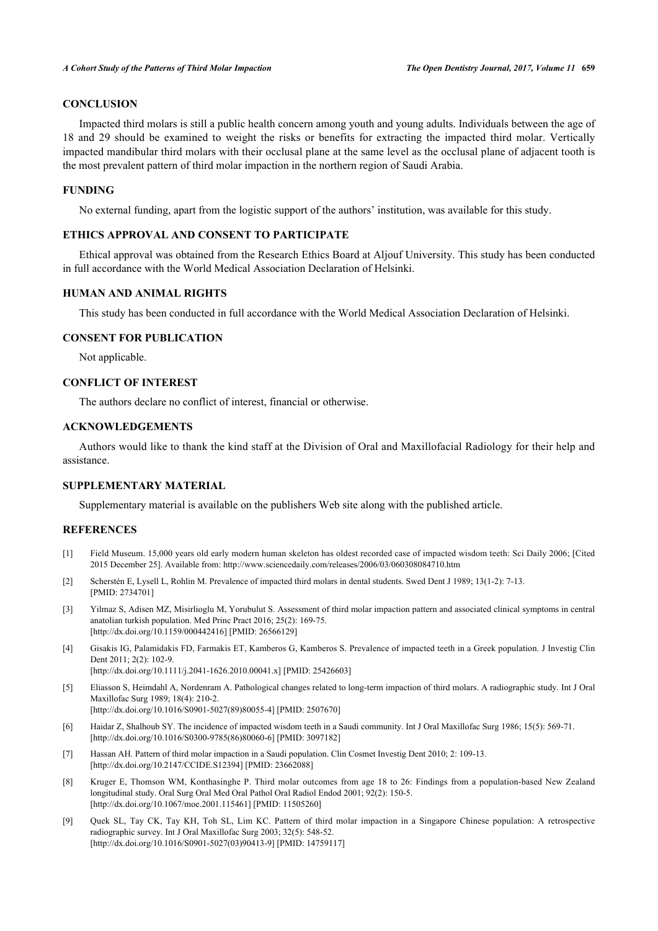# **CONCLUSION**

Impacted third molars is still a public health concern among youth and young adults. Individuals between the age of 18 and 29 should be examined to weight the risks or benefits for extracting the impacted third molar. Vertically impacted mandibular third molars with their occlusal plane at the same level as the occlusal plane of adjacent tooth is the most prevalent pattern of third molar impaction in the northern region of Saudi Arabia.

# **FUNDING**

No external funding, apart from the logistic support of the authors' institution, was available for this study.

# **ETHICS APPROVAL AND CONSENT TO PARTICIPATE**

Ethical approval was obtained from the Research Ethics Board at Aljouf University. This study has been conducted in full accordance with the World Medical Association Declaration of Helsinki.

# **HUMAN AND ANIMAL RIGHTS**

This study has been conducted in full accordance with the World Medical Association Declaration of Helsinki.

# **CONSENT FOR PUBLICATION**

Not applicable.

# **CONFLICT OF INTEREST**

The authors declare no conflict of interest, financial or otherwise.

#### **ACKNOWLEDGEMENTS**

Authors would like to thank the kind staff at the Division of Oral and Maxillofacial Radiology for their help and assistance.

#### **SUPPLEMENTARY MATERIAL**

Supplementary material is available on the publishers Web site along with the published article.

# **REFERENCES**

- <span id="page-11-0"></span>[1] Field Museum. 15,000 years old early modern human skeleton has oldest recorded case of impacted wisdom teeth: Sci Daily 2006; [Cited 2015 December 25]. Available from:<http://www.sciencedaily.com/releases/2006/03/060308084710.htm>
- <span id="page-11-1"></span>[2] Scherstén E, Lysell L, Rohlin M. Prevalence of impacted third molars in dental students. Swed Dent J 1989; 13(1-2): 7-13. [PMID: [2734701\]](http://www.ncbi.nlm.nih.gov/pubmed/2734701)
- [3] Yilmaz S, Adisen MZ, Misirlioglu M, Yorubulut S. Assessment of third molar impaction pattern and associated clinical symptoms in central anatolian turkish population. Med Princ Pract 2016; 25(2): 169-75. [\[http://dx.doi.org/10.1159/000442416\]](http://dx.doi.org/10.1159/000442416) [PMID: [26566129](http://www.ncbi.nlm.nih.gov/pubmed/26566129)]
- [4] Gisakis IG, Palamidakis FD, Farmakis ET, Kamberos G, Kamberos S. Prevalence of impacted teeth in a Greek population. J Investig Clin Dent 2011; 2(2): 102-9. [\[http://dx.doi.org/10.1111/j.2041-1626.2010.00041.x\]](http://dx.doi.org/10.1111/j.2041-1626.2010.00041.x) [PMID: [25426603](http://www.ncbi.nlm.nih.gov/pubmed/25426603)]
	-
- [5] Eliasson S, Heimdahl A, Nordenram A. Pathological changes related to long-term impaction of third molars. A radiographic study. Int J Oral Maxillofac Surg 1989; 18(4): 210-2. [\[http://dx.doi.org/10.1016/S0901-5027\(89\)80055-4\]](http://dx.doi.org/10.1016/S0901-5027(89)80055-4) [PMID: [2507670](http://www.ncbi.nlm.nih.gov/pubmed/2507670)]
- <span id="page-11-3"></span>[6] Haidar Z, Shalhoub SY. The incidence of impacted wisdom teeth in a Saudi community. Int J Oral Maxillofac Surg 1986; 15(5): 569-71. [\[http://dx.doi.org/10.1016/S0300-9785\(86\)80060-6\]](http://dx.doi.org/10.1016/S0300-9785(86)80060-6) [PMID: [3097182](http://www.ncbi.nlm.nih.gov/pubmed/3097182)]
- <span id="page-11-4"></span>[7] Hassan AH. Pattern of third molar impaction in a Saudi population. Clin Cosmet Investig Dent 2010; 2: 109-13. [\[http://dx.doi.org/10.2147/CCIDE.S12394](http://dx.doi.org/10.2147/CCIDE.S12394)] [PMID: [23662088\]](http://www.ncbi.nlm.nih.gov/pubmed/23662088)
- [8] Kruger E, Thomson WM, Konthasinghe P. Third molar outcomes from age 18 to 26: Findings from a population-based New Zealand longitudinal study. Oral Surg Oral Med Oral Pathol Oral Radiol Endod 2001; 92(2): 150-5. [\[http://dx.doi.org/10.1067/moe.2001.115461\]](http://dx.doi.org/10.1067/moe.2001.115461) [PMID: [11505260](http://www.ncbi.nlm.nih.gov/pubmed/11505260)]
- <span id="page-11-2"></span>[9] Quek SL, Tay CK, Tay KH, Toh SL, Lim KC. Pattern of third molar impaction in a Singapore Chinese population: A retrospective radiographic survey. Int J Oral Maxillofac Surg 2003; 32(5): 548-52. [\[http://dx.doi.org/10.1016/S0901-5027\(03\)90413-9\]](http://dx.doi.org/10.1016/S0901-5027(03)90413-9) [PMID: [14759117](http://www.ncbi.nlm.nih.gov/pubmed/14759117)]